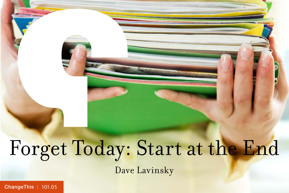# Forget Today: Start at the End Dave Lavinsky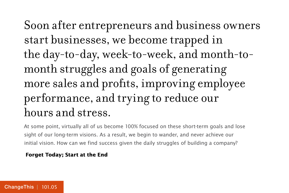Soon after entrepreneurs and business owners start businesses, we become trapped in the day-to-day, week-to-week, and month-tomonth struggles and goals of generating more sales and profits, improving employee performance, and trying to reduce our hours and stress.

At some point, virtually all of us become 100% focused on these short-term goals and lose sight of our long-term visions. As a result, we begin to wander, and never achieve our initial vision. How can we find success given the daily struggles of building a company?

#### **Forget Today; Start at the End**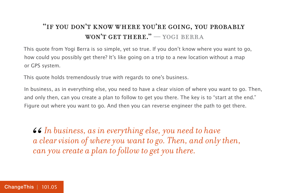#### "if you don't know where you're going, you probably won't get there." — yogi berra

This quote from Yogi Berra is so simple, yet so true. If you don't know where you want to go, how could you possibly get there? It's like going on a trip to a new location without a map or GPS system.

This quote holds tremendously true with regards to one's business.

In business, as in everything else, you need to have a clear vision of where you want to go. Then, and only then, can you create a plan to follow to get you there. The key is to "start at the end." Figure out where you want to go. And then you can reverse engineer the path to get there.

*In business, as in everything else, you need to have a clear vision of where you want to go. Then, and only then, can you create a plan to follow to get you there.* 66<br>*a c*<br>*ca*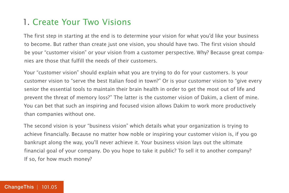#### 1. Create Your Two Visions

The first step in starting at the end is to determine your vision for what you'd like your business to become. But rather than create just one vision, you should have two. The first vision should be your "customer vision" or your vision from a customer perspective. Why? Because great companies are those that fulfill the needs of their customers.

Your "customer vision" should explain what you are trying to do for your customers. Is your customer vision to "serve the best Italian food in town?" Or is your customer vision to "give every senior the essential tools to maintain their brain health in order to get the most out of life and prevent the threat of memory loss?" The latter is the customer vision of Dakim, a client of mine. You can bet that such an inspiring and focused vision allows Dakim to work more productively than companies without one.

The second vision is your "business vision" which details what your organization is trying to achieve financially. Because no matter how noble or inspiring your customer vision is, if you go bankrupt along the way, you'll never achieve it. Your business vision lays out the ultimate financial goal of your company. Do you hope to take it public? To sell it to another company? If so, for how much money?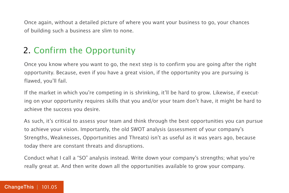Once again, without a detailed picture of where you want your business to go, your chances of building such a business are slim to none.

### 2. Confirm the Opportunity

Once you know where you want to go, the next step is to confirm you are going after the right opportunity. Because, even if you have a great vision, if the opportunity you are pursuing is flawed, you'll fail.

If the market in which you're competing in is shrinking, it'll be hard to grow. Likewise, if executing on your opportunity requires skills that you and/or your team don't have, it might be hard to achieve the success you desire.

As such, it's critical to assess your team and think through the best opportunities you can pursue to achieve your vision. Importantly, the old SWOT analysis (assessment of your company's Strengths, Weaknesses, Opportunities and Threats) isn't as useful as it was years ago, because today there are constant threats and disruptions.

Conduct what I call a "SO" analysis instead. Write down your company's strengths; what you're really great at. And then write down all the opportunities available to grow your company.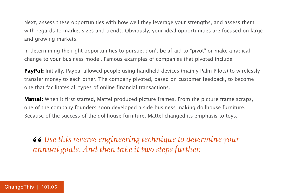Next, assess these opportunities with how well they leverage your strengths, and assess them with regards to market sizes and trends. Obviously, your ideal opportunities are focused on large and growing markets.

In determining the right opportunities to pursue, don't be afraid to "pivot" or make a radical change to your business model. Famous examples of companies that pivoted include:

**PayPal:** Initially, Paypal allowed people using handheld devices (mainly Palm Pilots) to wirelessly transfer money to each other. The company pivoted, based on customer feedback, to become one that facilitates all types of online financial transactions.

**Mattel:** When it first started, Mattel produced picture frames. From the picture frame scraps, one of the company founders soon developed a side business making dollhouse furniture. Because of the success of the dollhouse furniture, Mattel changed its emphasis to toys.

*Use this reverse engineering technique to determine your*  66<br>an *annual goals. And then take it two steps further.*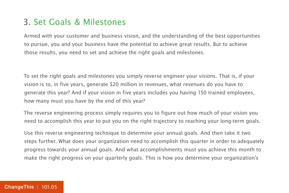#### 3. Set Goals & Milestones

Armed with your customer and business vision, and the understanding of the best opportunities to pursue, you and your business have the potential to achieve great results. But to achieve those results, you need to set and achieve the right goals and milestones.

To set the right goals and milestones you simply reverse engineer your visions. That is, if your vision is to, in five years, generate \$20 million in revenues, what revenues do you have to generate this year? And if your vision in five years includes you having 150 trained employees, how many must you have by the end of this year?

The reverse engineering process simply requires you to figure out how much of your vision you need to accomplish this year to put you on the right trajectory to reaching your long-term goals.

Use this reverse engineering technique to determine your annual goals. And then take it two steps further. What does your organization need to accomplish this quarter in order to adequately progress towards your annual goals. And what accomplishments must you achieve this month to make the right progress on your quarterly goals. This is how you determine your organization's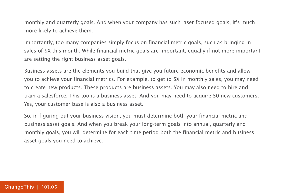monthly and quarterly goals. And when your company has such laser focused goals, it's much more likely to achieve them.

Importantly, too many companies simply focus on financial metric goals, such as bringing in sales of \$X this month. While financial metric goals are important, equally if not more important are setting the right business asset goals.

Business assets are the elements you build that give you future economic benefits and allow you to achieve your financial metrics. For example, to get to \$X in monthly sales, you may need to create new products. These products are business assets. You may also need to hire and train a salesforce. This too is a business asset. And you may need to acquire 50 new customers. Yes, your customer base is also a business asset.

So, in figuring out your business vision, you must determine both your financial metric and business asset goals. And when you break your long-term goals into annual, quarterly and monthly goals, you will determine for each time period both the financial metric and business asset goals you need to achieve.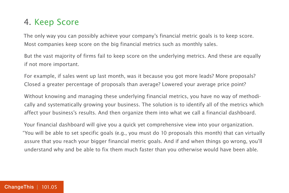#### 4. Keep Score

The only way you can possibly achieve your company's financial metric goals is to keep score. Most companies keep score on the big financial metrics such as monthly sales.

But the vast majority of firms fail to keep score on the underlying metrics. And these are equally if not more important.

For example, if sales went up last month, was it because you got more leads? More proposals? Closed a greater percentage of proposals than average? Lowered your average price point?

Without knowing and managing these underlying financial metrics, you have no way of methodically and systematically growing your business. The solution is to identify all of the metrics which affect your business's results. And then organize them into what we call a financial dashboard.

Your financial dashboard will give you a quick yet comprehensive view into your organization. "You will be able to set specific goals (e.g., you must do 10 proposals this month) that can virtually assure that you reach your bigger financial metric goals. And if and when things go wrong, you'll understand why and be able to fix them much faster than you otherwise would have been able.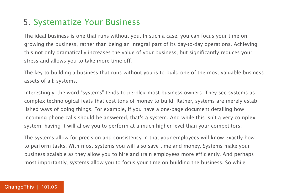### 5. Systematize Your Business

The ideal business is one that runs without you. In such a case, you can focus your time on growing the business, rather than being an integral part of its day-to-day operations. Achieving this not only dramatically increases the value of your business, but significantly reduces your stress and allows you to take more time off.

The key to building a business that runs without you is to build one of the most valuable business assets of all: systems.

Interestingly, the word "systems" tends to perplex most business owners. They see systems as complex technological feats that cost tons of money to build. Rather, systems are merely established ways of doing things. For example, if you have a one-page document detailing how incoming phone calls should be answered, that's a system. And while this isn't a very complex system, having it will allow you to perform at a much higher level than your competitors.

The systems allow for precision and consistency in that your employees will know exactly how to perform tasks. With most systems you will also save time and money. Systems make your business scalable as they allow you to hire and train employees more efficiently. And perhaps most importantly, systems allow you to focus your time on building the business. So while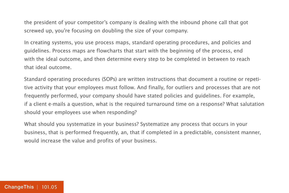the president of your competitor's company is dealing with the inbound phone call that got screwed up, you're focusing on doubling the size of your company.

In creating systems, you use process maps, standard operating procedures, and policies and guidelines. Process maps are flowcharts that start with the beginning of the process, end with the ideal outcome, and then determine every step to be completed in between to reach that ideal outcome.

Standard operating procedures (SOPs) are written instructions that document a routine or repetitive activity that your employees must follow. And finally, for outliers and processes that are not frequently performed, your company should have stated policies and guidelines. For example, if a client e-mails a question, what is the required turnaround time on a response? What salutation should your employees use when responding?

What should you systematize in your business? Systematize any process that occurs in your business, that is performed frequently, an, that if completed in a predictable, consistent manner, would increase the value and profits of your business.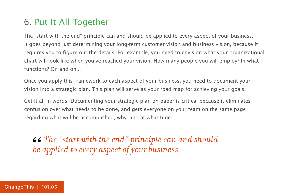### 6. Put It All Together

The "start with the end" principle can and should be applied to every aspect of your business. It goes beyond just determining your long-term customer vision and business vision, because it requires you to figure out the details. For example, you need to envision what your organizational chart will look like when you've reached your vision. How many people you will employ? In what functions? On and on...

Once you apply this framework to each aspect of your business, you need to document your vision into a strategic plan. This plan will serve as your road map for achieving your goals.

Get it all in words. Documenting your strategic plan on paper is critical because it eliminates confusion over what needs to be done, and gets everyone on your team on the same page regarding what will be accomplished, why, and at what time.

*The "start with the end" principle can and should " be applied to every aspect of your business.*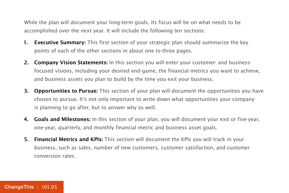While the plan will document your long-term goals, its focus will be on what needs to be accomplished over the next year. It will include the following ten sections:

- **1. Executive Summary:** This first section of your strategic plan should summarize the key points of each of the other sections in about one to three pages.
- **2. Company Vision Statements:** In this section you will enter your customer- and businessfocused visions, including your desired end-game, the financial metrics you want to achieve, and business assets you plan to build by the time you exit your business.
- **3. Opportunities to Pursue:** This section of your plan will document the opportunities you have chosen to pursue. It's not only important to write down what opportunities your company is planning to go after, but to answer why as well.
- **4. Goals and Milestones:** In this section of your plan, you will document your exit or five-year, one-year, quarterly, and monthly financial metric and business asset goals.
- **5. Financial Metrics and KPIs:** This section will document the KPIs you will track in your business, such as sales, number of new customers, customer satisfaction, and customer conversion rates.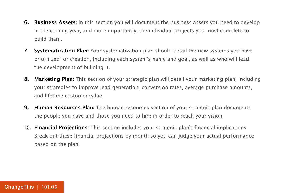- **6. Business Assets:** In this section you will document the business assets you need to develop in the coming year, and more importantly, the individual projects you must complete to build them.
- **7. Systematization Plan:** Your systematization plan should detail the new systems you have prioritized for creation, including each system's name and goal, as well as who will lead the development of building it.
- **8. Marketing Plan:** This section of your strategic plan will detail your marketing plan, including your strategies to improve lead generation, conversion rates, average purchase amounts, and lifetime customer value.
- **9. Human Resources Plan:** The human resources section of your strategic plan documents the people you have and those you need to hire in order to reach your vision.
- **10. Financial Projections:** This section includes your strategic plan's financial implications. Break out these financial projections by month so you can judge your actual performance based on the plan.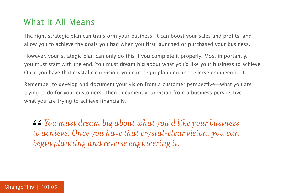#### What It All Means

The right strategic plan can transform your business. It can boost your sales and profits, and allow you to achieve the goals you had when you first launched or purchased your business.

However, your strategic plan can only do this if you complete it properly. Most importantly, you must start with the end. You must dream big about what you'd like your business to achieve. Once you have that crystal-clear vision, you can begin planning and reverse engineering it.

Remember to develop and document your vision from a customer perspective—what you are trying to do for your customers. Then document your vision from a business perspective what you are trying to achieve financially.

*You must dream big about what you'd like your business to achieve. Once you have that crystal-clear vision, you can begin planning and reverse engineering it.* 66<br>*to*<br>beg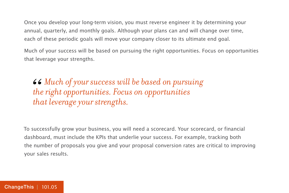Once you develop your long-term vision, you must reverse engineer it by determining your annual, quarterly, and monthly goals. Although your plans can and will change over time, each of these periodic goals will move your company closer to its ultimate end goal.

Much of your success will be based on pursuing the right opportunities. Focus on opportunities that leverage your strengths.

*Much of your success will be based on pursuing the right opportunities. Focus on opportunities that leverage your strengths.* 66<br>the<br>the

To successfully grow your business, you will need a scorecard. Your scorecard, or financial dashboard, must include the KPIs that underlie your success. For example, tracking both the number of proposals you give and your proposal conversion rates are critical to improving your sales results.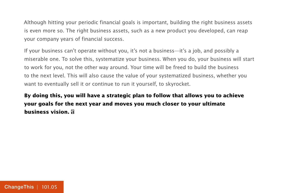Although hitting your periodic financial goals is important, building the right business assets is even more so. The right business assets, such as a new product you developed, can reap your company years of financial success.

If your business can't operate without you, it's not a business—it's a job, and possibly a miserable one. To solve this, systematize your business. When you do, your business will start to work for you, not the other way around. Your time will be freed to build the business to the next level. This will also cause the value of your systematized business, whether you want to eventually sell it or continue to run it yourself, to skyrocket.

**By doing this, you will have a strategic plan to follow that allows you to achieve your goals for the next year and moves you much closer to your ultimate business vision.**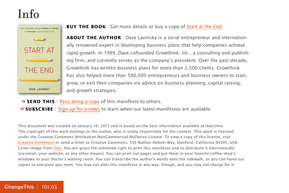### Info



#### **BUY THE BOOK** | Get more details or buy a copy of [Start at the End.](http://800ceoread.com/book/show/9781118376768)

**ABOUT THE AUTHOR** | Dave Lavinsky is a serial entrepreneur and internationally renowned expert in developing business plans that help companies achieve rapid growth. In 1999, Dave cofounded Growthink, Inc., a consulting and publishing firm, and currently serves as the company's president. Over the past decade, Growthink has written business plans for more than 2,500 clients. Growthink has also helped more than 500,000 entrepreneurs and business owners to start, grow, or exit their companies via advice on business planning, capital raising, and growth strategies.

- **→ SEND THIS** | [Pass along a copy](http://changethis.com/101.05.EndStart) of this manifesto to others.
- **→ SUBSCRIBE** | Sign up fo[r e-news](http://changethis.com/page/show/e_mail_newsletter) to learn when our latest manifestos are available.

This document was created on January 16, 2013 and is based on the best information available at that time. The copyright of this work belongs to the author, who is solely responsible for the content. This work is licensed under the Creative Commons Attribution-NonCommercial-NoDerivs License. To view a copy of this license, visit [Creative Commons](http://creativecommons.org/licenses/by-nc-nd/2.0/) or send a letter to Creative Commons, 559 Nathan Abbott Way, Stanford, California 94305, USA. Cover image from [Veer.](http://www.veer.com/) You are given the unlimited right to print this manifesto and to distribute it electronically (via email, your website, or any other means). You can print out pages and put them in your favorite coffee shop's windows or your doctor's waiting room. You can transcribe the author's words onto the sidewalk, or you can hand out copies to everyone you meet. You may not alter this manifesto in any way, though, and you may not charge for it.